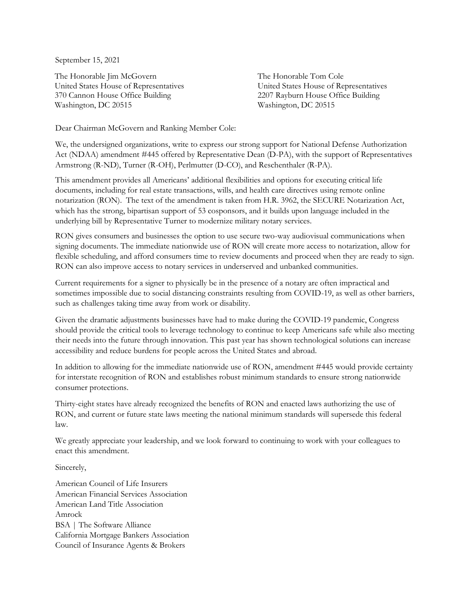September 15, 2021

The Honorable Jim McGovern United States House of Representatives 370 Cannon House Office Building Washington, DC 20515

The Honorable Tom Cole United States House of Representatives 2207 Rayburn House Office Building Washington, DC 20515

Dear Chairman McGovern and Ranking Member Cole:

We, the undersigned organizations, write to express our strong support for National Defense Authorization Act (NDAA) amendment #445 offered by Representative Dean (D-PA), with the support of Representatives Armstrong (R-ND), Turner (R-OH), Perlmutter (D-CO), and Reschenthaler (R-PA).

This amendment provides all Americans' additional flexibilities and options for executing critical life documents, including for real estate transactions, wills, and health care directives using remote online notarization (RON). The text of the amendment is taken from H.R. 3962, the SECURE Notarization Act, which has the strong, bipartisan support of 53 cosponsors, and it builds upon language included in the underlying bill by Representative Turner to modernize military notary services.

RON gives consumers and businesses the option to use secure two-way audiovisual communications when signing documents. The immediate nationwide use of RON will create more access to notarization, allow for flexible scheduling, and afford consumers time to review documents and proceed when they are ready to sign. RON can also improve access to notary services in underserved and unbanked communities.

Current requirements for a signer to physically be in the presence of a notary are often impractical and sometimes impossible due to social distancing constraints resulting from COVID-19, as well as other barriers, such as challenges taking time away from work or disability.

Given the dramatic adjustments businesses have had to make during the COVID-19 pandemic, Congress should provide the critical tools to leverage technology to continue to keep Americans safe while also meeting their needs into the future through innovation. This past year has shown technological solutions can increase accessibility and reduce burdens for people across the United States and abroad.

In addition to allowing for the immediate nationwide use of RON, amendment #445 would provide certainty for interstate recognition of RON and establishes robust minimum standards to ensure strong nationwide consumer protections.

Thirty-eight states have already recognized the benefits of RON and enacted laws authorizing the use of RON, and current or future state laws meeting the national minimum standards will supersede this federal law.

We greatly appreciate your leadership, and we look forward to continuing to work with your colleagues to enact this amendment.

Sincerely,

American Council of Life Insurers American Financial Services Association American Land Title Association Amrock BSA | The Software Alliance California Mortgage Bankers Association Council of Insurance Agents & Brokers